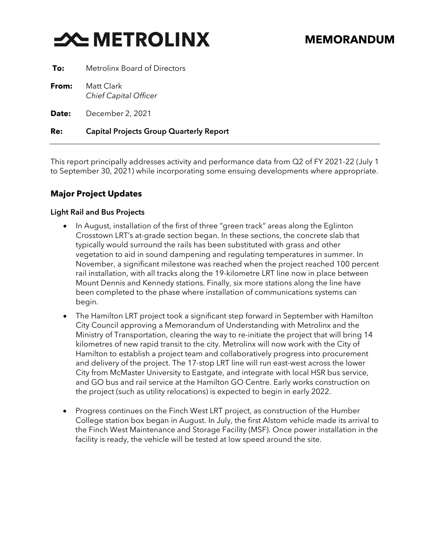# **X-METROLINX**

| To:          | <b>Metrolinx Board of Directors</b>        |
|--------------|--------------------------------------------|
| From:        | Matt Clark<br><b>Chief Capital Officer</b> |
| <b>Date:</b> | December 2, 2021                           |

### **Re:** Capital Projects Group Quarterly Report

This report principally addresses activity and performance data from Q2 of FY 2021-22 (July 1 to September 30, 2021) while incorporating some ensuing developments where appropriate.

## **Major Project Updates**

#### Light Rail and Bus Projects

- In August, installation of the first of three "green track" areas along the Eglinton Crosstown LRT's at-grade section began. In these sections, the concrete slab that typically would surround the rails has been substituted with grass and other vegetation to aid in sound dampening and regulating temperatures in summer. In November, a significant milestone was reached when the project reached 100 percent rail installation, with all tracks along the 19-kilometre LRT line now in place between Mount Dennis and Kennedy stations. Finally, six more stations along the line have been completed to the phase where installation of communications systems can begin.
- The Hamilton LRT project took a significant step forward in September with Hamilton City Council approving a Memorandum of Understanding with Metrolinx and the Ministry of Transportation, clearing the way to re-initiate the project that will bring 14 kilometres of new rapid transit to the city. Metrolinx will now work with the City of Hamilton to establish a project team and collaboratively progress into procurement and delivery of the project. The 17-stop LRT line will run east-west across the lower City from McMaster University to Eastgate, and integrate with local HSR bus service, and GO bus and rail service at the Hamilton GO Centre. Early works construction on the project (such as utility relocations) is expected to begin in early 2022.
- Progress continues on the Finch West LRT project, as construction of the Humber College station box began in August. In July, the first Alstom vehicle made its arrival to the Finch West Maintenance and Storage Facility (MSF). Once power installation in the facility is ready, the vehicle will be tested at low speed around the site.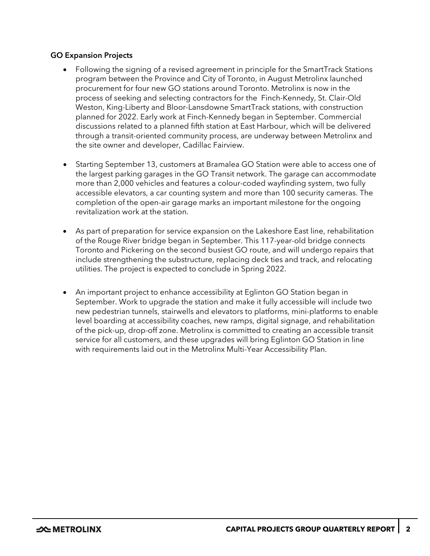#### GO Expansion Projects

- Following the signing of a revised agreement in principle for the SmartTrack Stations program between the Province and City of Toronto, in August Metrolinx launched procurement for four new GO stations around Toronto. Metrolinx is now in the process of seeking and selecting contractors for the Finch-Kennedy, St. Clair-Old Weston, King-Liberty and Bloor-Lansdowne SmartTrack stations, with construction planned for 2022. Early work at Finch-Kennedy began in September. Commercial discussions related to a planned fifth station at East Harbour, which will be delivered through a transit-oriented community process, are underway between Metrolinx and the site owner and developer, Cadillac Fairview.
- Starting September 13, customers at Bramalea GO Station were able to access one of the largest parking garages in the GO Transit network. The garage can accommodate more than 2,000 vehicles and features a colour-coded wayfinding system, two fully accessible elevators, a car counting system and more than 100 security cameras. The completion of the open-air garage marks an important milestone for the ongoing revitalization work at the station.
- As part of preparation for service expansion on the Lakeshore East line, rehabilitation of the Rouge River bridge began in September. This 117-year-old bridge connects Toronto and Pickering on the second busiest GO route, and will undergo repairs that include strengthening the substructure, replacing deck ties and track, and relocating utilities. The project is expected to conclude in Spring 2022.
- An important project to enhance accessibility at Eglinton GO Station began in September. Work to upgrade the station and make it fully accessible will include two new pedestrian tunnels, stairwells and elevators to platforms, mini-platforms to enable level boarding at accessibility coaches, new ramps, digital signage, and rehabilitation of the pick-up, drop-off zone. Metrolinx is committed to creating an accessible transit service for all customers, and these upgrades will bring Eglinton GO Station in line with requirements laid out in the Metrolinx Multi-Year Accessibility Plan.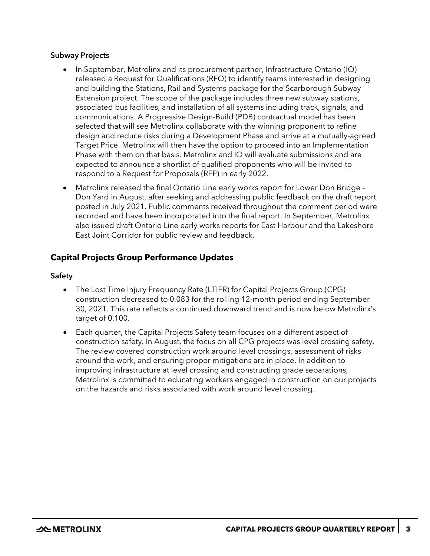#### Subway Projects

- In September, Metrolinx and its procurement partner, Infrastructure Ontario (IO) released a Request for Qualifications (RFQ) to identify teams interested in designing and building the Stations, Rail and Systems package for the Scarborough Subway Extension project. The scope of the package includes three new subway stations, associated bus facilities, and installation of all systems including track, signals, and communications. A Progressive Design-Build (PDB) contractual model has been selected that will see Metrolinx collaborate with the winning proponent to refine design and reduce risks during a Development Phase and arrive at a mutually-agreed Target Price. Metrolinx will then have the option to proceed into an Implementation Phase with them on that basis. Metrolinx and IO will evaluate submissions and are expected to announce a shortlist of qualified proponents who will be invited to respond to a Request for Proposals (RFP) in early 2022.
- Metrolinx released the final Ontario Line early works report for Lower Don Bridge Don Yard in August, after seeking and addressing public feedback on the draft report posted in July 2021. Public comments received throughout the comment period were recorded and have been incorporated into the final report. In September, Metrolinx also issued draft Ontario Line early works reports for East Harbour and the Lakeshore East Joint Corridor for public review and feedback.

## **Capital Projects Group Performance Updates**

#### Safety

- The Lost Time Injury Frequency Rate (LTIFR) for Capital Projects Group (CPG) construction decreased to 0.083 for the rolling 12-month period ending September 30, 2021. This rate reflects a continued downward trend and is now below Metrolinx's target of 0.100.
- Each quarter, the Capital Projects Safety team focuses on a different aspect of construction safety. In August, the focus on all CPG projects was level crossing safety. The review covered construction work around level crossings, assessment of risks around the work, and ensuring proper mitigations are in place. In addition to improving infrastructure at level crossing and constructing grade separations, Metrolinx is committed to educating workers engaged in construction on our projects on the hazards and risks associated with work around level crossing.